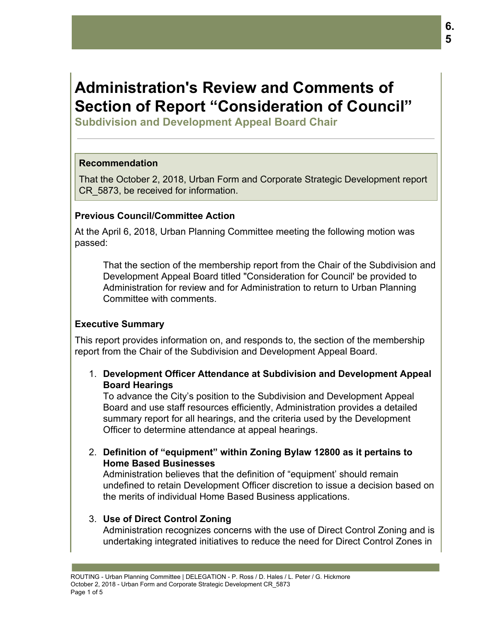# **Administration's Review and Comments of Section of Report "Consideration of Council"**

**Subdivision and Development Appeal Board Chair**

## **Recommendation**

That the October 2, 2018, Urban Form and Corporate Strategic Development report CR\_5873, be received for information.

## **Previous Council/Committee Action**

At the April 6, 2018, Urban Planning Committee meeting the following motion was passed:

That the section of the membership report from the Chair of the Subdivision and Development Appeal Board titled "Consideration for Council' be provided to Administration for review and for Administration to return to Urban Planning Committee with comments.

#### **Executive Summary**

This report provides information on, and responds to, the section of the membership report from the Chair of the Subdivision and Development Appeal Board.

1. **Development Officer Attendance at Subdivision and Development Appeal Board Hearings**

To advance the City's position to the Subdivision and Development Appeal Board and use staff resources efficiently, Administration provides a detailed summary report for all hearings, and the criteria used by the Development Officer to determine attendance at appeal hearings.

2. **Definition of "equipment" within Zoning Bylaw 12800 as it pertains to Home Based Businesses**

Administration believes that the definition of "equipment' should remain undefined to retain Development Officer discretion to issue a decision based on the merits of individual Home Based Business applications.

#### 3. **Use of Direct Control Zoning**

Administration recognizes concerns with the use of Direct Control Zoning and is undertaking integrated initiatives to reduce the need for Direct Control Zones in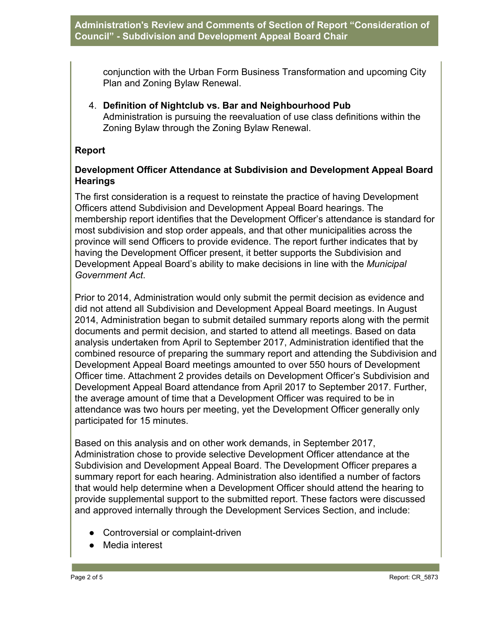conjunction with the Urban Form Business Transformation and upcoming City Plan and Zoning Bylaw Renewal.

4. **Definition of Nightclub vs. Bar and Neighbourhood Pub** Administration is pursuing the reevaluation of use class definitions within the Zoning Bylaw through the Zoning Bylaw Renewal.

## **Report**

## **Development Officer Attendance at Subdivision and Development Appeal Board Hearings**

The first consideration is a request to reinstate the practice of having Development Officers attend Subdivision and Development Appeal Board hearings. The membership report identifies that the Development Officer's attendance is standard for most subdivision and stop order appeals, and that other municipalities across the province will send Officers to provide evidence. The report further indicates that by having the Development Officer present, it better supports the Subdivision and Development Appeal Board's ability to make decisions in line with the *Municipal Government Act*.

Prior to 2014, Administration would only submit the permit decision as evidence and did not attend all Subdivision and Development Appeal Board meetings. In August 2014, Administration began to submit detailed summary reports along with the permit documents and permit decision, and started to attend all meetings. Based on data analysis undertaken from April to September 2017, Administration identified that the combined resource of preparing the summary report and attending the Subdivision and Development Appeal Board meetings amounted to over 550 hours of Development Officer time. Attachment 2 provides details on Development Officer's Subdivision and Development Appeal Board attendance from April 2017 to September 2017. Further, the average amount of time that a Development Officer was required to be in attendance was two hours per meeting, yet the Development Officer generally only participated for 15 minutes.

Based on this analysis and on other work demands, in September 2017, Administration chose to provide selective Development Officer attendance at the Subdivision and Development Appeal Board. The Development Officer prepares a summary report for each hearing. Administration also identified a number of factors that would help determine when a Development Officer should attend the hearing to provide supplemental support to the submitted report. These factors were discussed and approved internally through the Development Services Section, and include:

- Controversial or complaint-driven
- Media interest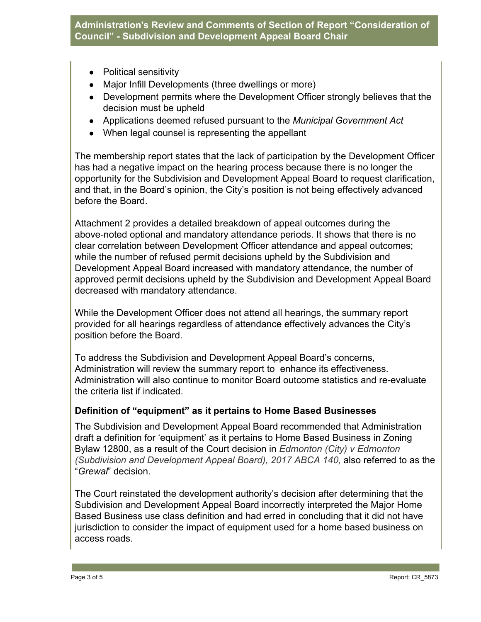- Political sensitivity
- Major Infill Developments (three dwellings or more)
- Development permits where the Development Officer strongly believes that the decision must be upheld
- Applications deemed refused pursuant to the *Municipal Government Act*
- When legal counsel is representing the appellant

The membership report states that the lack of participation by the Development Officer has had a negative impact on the hearing process because there is no longer the opportunity for the Subdivision and Development Appeal Board to request clarification, and that, in the Board's opinion, the City's position is not being effectively advanced before the Board.

Attachment 2 provides a detailed breakdown of appeal outcomes during the above-noted optional and mandatory attendance periods. It shows that there is no clear correlation between Development Officer attendance and appeal outcomes; while the number of refused permit decisions upheld by the Subdivision and Development Appeal Board increased with mandatory attendance, the number of approved permit decisions upheld by the Subdivision and Development Appeal Board decreased with mandatory attendance.

While the Development Officer does not attend all hearings, the summary report provided for all hearings regardless of attendance effectively advances the City's position before the Board.

To address the Subdivision and Development Appeal Board's concerns, Administration will review the summary report to enhance its effectiveness. Administration will also continue to monitor Board outcome statistics and re-evaluate the criteria list if indicated.

# **Definition of "equipment" as it pertains to Home Based Businesses**

The Subdivision and Development Appeal Board recommended that Administration draft a definition for 'equipment' as it pertains to Home Based Business in Zoning Bylaw 12800, as a result of the Court decision in *Edmonton (City) v Edmonton (Subdivision and Development Appeal Board), 2017 ABCA 140, also referred to as the* "*Grewal*" decision.

The Court reinstated the development authority's decision after determining that the Subdivision and Development Appeal Board incorrectly interpreted the Major Home Based Business use class definition and had erred in concluding that it did not have jurisdiction to consider the impact of equipment used for a home based business on access roads.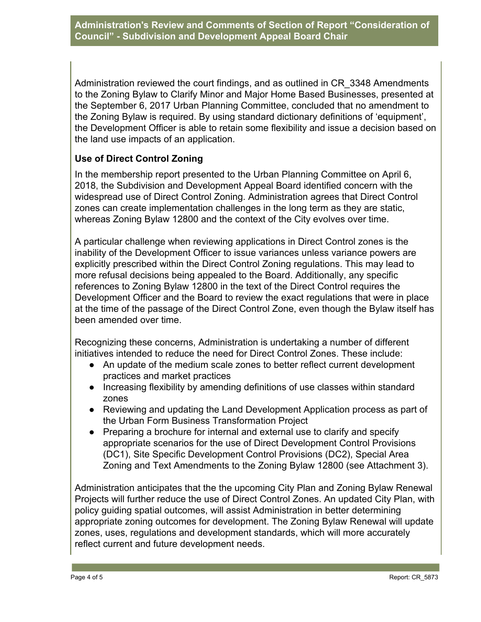Administration reviewed the court findings, and as outlined in CR\_3348 Amendments to the Zoning Bylaw to Clarify Minor and Major Home Based Businesses, presented at the September 6, 2017 Urban Planning Committee, concluded that no amendment to the Zoning Bylaw is required. By using standard dictionary definitions of 'equipment', the Development Officer is able to retain some flexibility and issue a decision based on the land use impacts of an application.

# **Use of Direct Control Zoning**

In the membership report presented to the Urban Planning Committee on April 6, 2018, the Subdivision and Development Appeal Board identified concern with the widespread use of Direct Control Zoning. Administration agrees that Direct Control zones can create implementation challenges in the long term as they are static, whereas Zoning Bylaw 12800 and the context of the City evolves over time.

A particular challenge when reviewing applications in Direct Control zones is the inability of the Development Officer to issue variances unless variance powers are explicitly prescribed within the Direct Control Zoning regulations. This may lead to more refusal decisions being appealed to the Board. Additionally, any specific references to Zoning Bylaw 12800 in the text of the Direct Control requires the Development Officer and the Board to review the exact regulations that were in place at the time of the passage of the Direct Control Zone, even though the Bylaw itself has been amended over time.

Recognizing these concerns, Administration is undertaking a number of different initiatives intended to reduce the need for Direct Control Zones. These include:

- An update of the medium scale zones to better reflect current development practices and market practices
- Increasing flexibility by amending definitions of use classes within standard zones
- Reviewing and updating the Land Development Application process as part of the Urban Form Business Transformation Project
- Preparing a brochure for internal and external use to clarify and specify appropriate scenarios for the use of Direct Development Control Provisions (DC1), Site Specific Development Control Provisions (DC2), Special Area Zoning and Text Amendments to the Zoning Bylaw 12800 (see Attachment 3).

Administration anticipates that the the upcoming City Plan and Zoning Bylaw Renewal Projects will further reduce the use of Direct Control Zones. An updated City Plan, with policy guiding spatial outcomes, will assist Administration in better determining appropriate zoning outcomes for development. The Zoning Bylaw Renewal will update zones, uses, regulations and development standards, which will more accurately reflect current and future development needs.